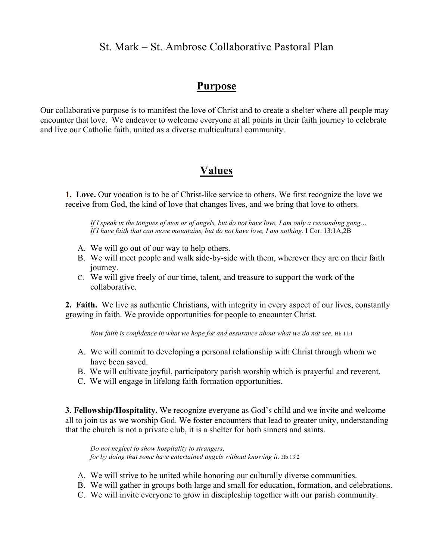### St. Mark – St. Ambrose Collaborative Pastoral Plan

### **Purpose**

Our collaborative purpose is to manifest the love of Christ and to create a shelter where all people may encounter that love. We endeavor to welcome everyone at all points in their faith journey to celebrate and live our Catholic faith, united as a diverse multicultural community.

### **Values**

**1. Love.** Our vocation is to be of Christ-like service to others. We first recognize the love we receive from God, the kind of love that changes lives, and we bring that love to others.

*If I speak in the tongues of men or of angels, but do not have love, I am only a resounding gong… If I have faith that can move mountains, but do not have love, I am nothing.* I Cor. 13:1A,2B

- A. We will go out of our way to help others.
- B. We will meet people and walk side-by-side with them, wherever they are on their faith journey.
- C. We will give freely of our time, talent, and treasure to support the work of the collaborative.

**2. Faith.** We live as authentic Christians, with integrity in every aspect of our lives, constantly growing in faith. We provide opportunities for people to encounter Christ.

*Now faith is confidence in what we hope for and assurance about what we do not see.* Hb 11:1

- A. We will commit to developing a personal relationship with Christ through whom we have been saved.
- B. We will cultivate joyful, participatory parish worship which is prayerful and reverent.
- C. We will engage in lifelong faith formation opportunities.

**3**. **Fellowship/Hospitality.** We recognize everyone as God's child and we invite and welcome all to join us as we worship God. We foster encounters that lead to greater unity, understanding that the church is not a private club, it is a shelter for both sinners and saints.

*Do not neglect to show hospitality to strangers, for by doing that some have entertained angels without knowing it. Hb 13:2* 

- A. We will strive to be united while honoring our culturally diverse communities.
- B. We will gather in groups both large and small for education, formation, and celebrations.
- C. We will invite everyone to grow in discipleship together with our parish community.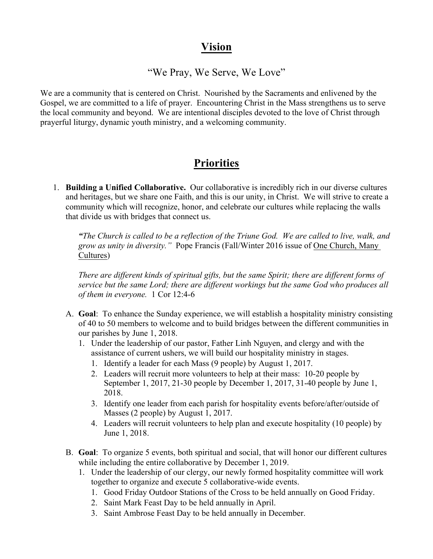## **Vision**

### "We Pray, We Serve, We Love"

We are a community that is centered on Christ. Nourished by the Sacraments and enlivened by the Gospel, we are committed to a life of prayer. Encountering Christ in the Mass strengthens us to serve the local community and beyond. We are intentional disciples devoted to the love of Christ through prayerful liturgy, dynamic youth ministry, and a welcoming community.

# **Priorities**

1. **Building a Unified Collaborative.** Our collaborative is incredibly rich in our diverse cultures and heritages, but we share one Faith, and this is our unity, in Christ. We will strive to create a community which will recognize, honor, and celebrate our cultures while replacing the walls that divide us with bridges that connect us.

*"The Church is called to be a reflection of the Triune God. We are called to live, walk, and grow as unity in diversity."* Pope Francis (Fall/Winter 2016 issue of One Church, Many Cultures)

*There are different kinds of spiritual gifts, but the same Spirit; there are different forms of service but the same Lord; there are different workings but the same God who produces all of them in everyone.* 1 Cor 12:4-6

- A. **Goal**: To enhance the Sunday experience, we will establish a hospitality ministry consisting of 40 to 50 members to welcome and to build bridges between the different communities in our parishes by June 1, 2018.
	- 1. Under the leadership of our pastor, Father Linh Nguyen, and clergy and with the assistance of current ushers, we will build our hospitality ministry in stages.
		- 1. Identify a leader for each Mass (9 people) by August 1, 2017.
		- 2. Leaders will recruit more volunteers to help at their mass: 10-20 people by September 1, 2017, 21-30 people by December 1, 2017, 31-40 people by June 1, 2018.
		- 3. Identify one leader from each parish for hospitality events before/after/outside of Masses (2 people) by August 1, 2017.
		- 4. Leaders will recruit volunteers to help plan and execute hospitality (10 people) by June 1, 2018.
- B. **Goal**: To organize 5 events, both spiritual and social, that will honor our different cultures while including the entire collaborative by December 1, 2019.
	- 1. Under the leadership of our clergy, our newly formed hospitality committee will work together to organize and execute 5 collaborative-wide events.
		- 1. Good Friday Outdoor Stations of the Cross to be held annually on Good Friday.
		- 2. Saint Mark Feast Day to be held annually in April.
		- 3. Saint Ambrose Feast Day to be held annually in December.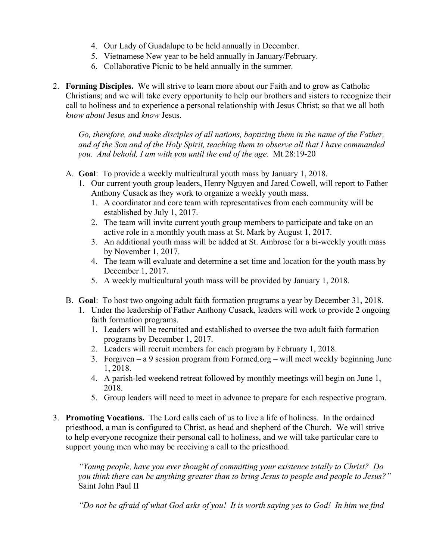- 4. Our Lady of Guadalupe to be held annually in December.
- 5. Vietnamese New year to be held annually in January/February.
- 6. Collaborative Picnic to be held annually in the summer.
- 2. **Forming Disciples.** We will strive to learn more about our Faith and to grow as Catholic Christians; and we will take every opportunity to help our brothers and sisters to recognize their call to holiness and to experience a personal relationship with Jesus Christ; so that we all both *know about* Jesus and *know* Jesus.

*Go, therefore, and make disciples of all nations, baptizing them in the name of the Father, and of the Son and of the Holy Spirit, teaching them to observe all that I have commanded you. And behold, I am with you until the end of the age.* Mt 28:19-20

- A. **Goal**: To provide a weekly multicultural youth mass by January 1, 2018.
	- 1. Our current youth group leaders, Henry Nguyen and Jared Cowell, will report to Father Anthony Cusack as they work to organize a weekly youth mass.
		- 1. A coordinator and core team with representatives from each community will be established by July 1, 2017.
		- 2. The team will invite current youth group members to participate and take on an active role in a monthly youth mass at St. Mark by August 1, 2017.
		- 3. An additional youth mass will be added at St. Ambrose for a bi-weekly youth mass by November 1, 2017.
		- 4. The team will evaluate and determine a set time and location for the youth mass by December 1, 2017.
		- 5. A weekly multicultural youth mass will be provided by January 1, 2018.
- B. **Goal**: To host two ongoing adult faith formation programs a year by December 31, 2018.
	- 1. Under the leadership of Father Anthony Cusack, leaders will work to provide 2 ongoing faith formation programs.
		- 1. Leaders will be recruited and established to oversee the two adult faith formation programs by December 1, 2017.
		- 2. Leaders will recruit members for each program by February 1, 2018.
		- 3. Forgiven a 9 session program from Formed.org will meet weekly beginning June 1, 2018.
		- 4. A parish-led weekend retreat followed by monthly meetings will begin on June 1, 2018.
		- 5. Group leaders will need to meet in advance to prepare for each respective program.
- 3. **Promoting Vocations.** The Lord calls each of us to live a life of holiness. In the ordained priesthood, a man is configured to Christ, as head and shepherd of the Church. We will strive to help everyone recognize their personal call to holiness, and we will take particular care to support young men who may be receiving a call to the priesthood.

*"Young people, have you ever thought of committing your existence totally to Christ? Do you think there can be anything greater than to bring Jesus to people and people to Jesus?"*  Saint John Paul II

*"Do not be afraid of what God asks of you! It is worth saying yes to God! In him we find*